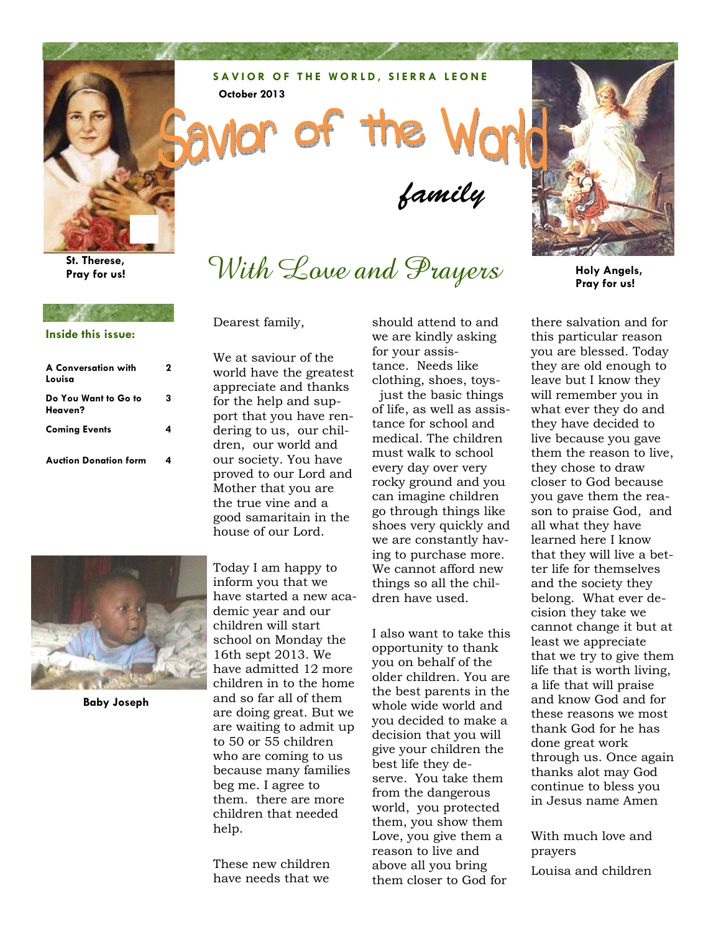

**St. Therese, Pray for us!** 

#### **Inside this issue:**

| A Conversation with<br>Louisa   | 2 |
|---------------------------------|---|
| Do You Want to Go to<br>Heaven? | з |
| <b>Coming Events</b>            |   |
| <b>Auction Donation form</b>    |   |



**Baby Joseph** 

With Love and Prayers **Holy Angels**,

**SAVIOR OF THE WORLD, SIERRA LEONE** 

lor of the

Dearest family,

**October 2013** 

We at saviour of the world have the greatest appreciate and thanks for the help and support that you have rendering to us, our children, our world and our society. You have proved to our Lord and Mother that you are the true vine and a good samaritain in the house of our Lord.

Today I am happy to inform you that we have started a new academic year and our children will start school on Monday the 16th sept 2013. We have admitted 12 more children in to the home and so far all of them are doing great. But we are waiting to admit up to 50 or 55 children who are coming to us because many families beg me. I agree to them. there are more children that needed help.

These new children have needs that we should attend to and we are kindly asking for your assistance. Needs like clothing, shoes, toys just the basic things of life, as well as assistance for school and medical. The children must walk to school every day over very rocky ground and you can imagine children go through things like shoes very quickly and we are constantly having to purchase more. We cannot afford new things so all the children have used.

family

I also want to take this opportunity to thank you on behalf of the older children. You are the best parents in the whole wide world and you decided to make a decision that you will give your children the best life they deserve. You take them from the dangerous world, you protected them, you show them Love, you give them a reason to live and above all you bring them closer to God for



**Pray for us!** 

there salvation and for this particular reason you are blessed. Today they are old enough to leave but I know they will remember you in what ever they do and they have decided to live because you gave them the reason to live, they chose to draw closer to God because you gave them the reason to praise God, and all what they have learned here I know that they will live a better life for themselves and the society they belong. What ever decision they take we cannot change it but at least we appreciate that we try to give them life that is worth living, a life that will praise and know God and for these reasons we most thank God for he has done great work through us. Once again thanks alot may God continue to bless you in Jesus name Amen

With much love and prayers Louisa and children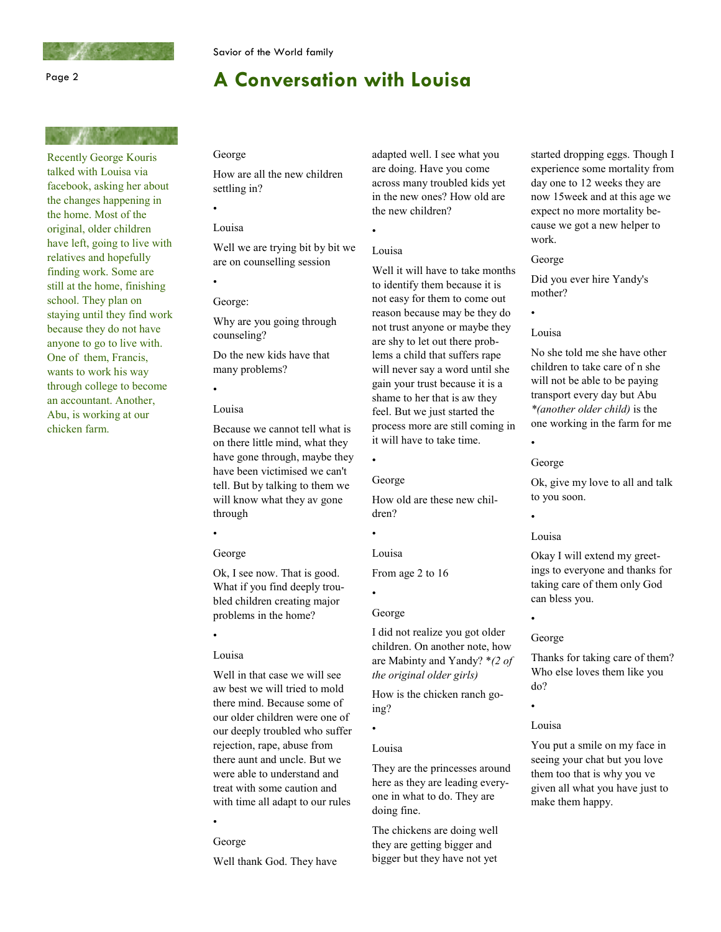

Page 2

Recently George Kouris talked with Louisa via facebook, asking her about the changes happening in the home. Most of the original, older children have left, going to live with relatives and hopefully finding work. Some are still at the home, finishing school. They plan on staying until they find work because they do not have anyone to go to live with. One of them, Francis, wants to work his way through college to become an accountant. Another, Abu, is working at our chicken farm.

Savior of the World family

### **A Conversation with Louisa**

#### George

How are all the new children settling in?

#### Louisa

•

Well we are trying bit by bit we are on counselling session

#### • George:

Why are you going through counseling?

Do the new kids have that many problems?

#### Louisa

•

Because we cannot tell what is on there little mind, what they have gone through, maybe they have been victimised we can't tell. But by talking to them we will know what they av gone through

#### •

#### George

Ok, I see now. That is good. What if you find deeply troubled children creating major problems in the home?

### •

#### Louisa

Well in that case we will see aw best we will tried to mold there mind. Because some of our older children were one of our deeply troubled who suffer rejection, rape, abuse from there aunt and uncle. But we were able to understand and treat with some caution and with time all adapt to our rules

## •

George

Well thank God. They have

adapted well. I see what you are doing. Have you come across many troubled kids yet in the new ones? How old are the new children?

#### Louisa

•

Well it will have to take months to identify them because it is not easy for them to come out reason because may be they do not trust anyone or maybe they are shy to let out there problems a child that suffers rape will never say a word until she gain your trust because it is a shame to her that is aw they feel. But we just started the process more are still coming in it will have to take time.

•

#### George

How old are these new children?

•

Louisa

From age 2 to 16

•

### George

I did not realize you got older children. On another note, how are Mabinty and Yandy? \**(2 of the original older girls)*

How is the chicken ranch going?

•

#### Louisa

They are the princesses around here as they are leading everyone in what to do. They are doing fine.

The chickens are doing well they are getting bigger and bigger but they have not yet

started dropping eggs. Though I experience some mortality from day one to 12 weeks they are now 15week and at this age we expect no more mortality because we got a new helper to work.

#### George

Did you ever hire Yandy's mother?

#### • Louisa

No she told me she have other children to take care of n she will not be able to be paying transport every day but Abu *\*(another older child)* is the one working in the farm for me

#### George

•

Ok, give my love to all and talk to you soon.

Louisa

•

Okay I will extend my greetings to everyone and thanks for taking care of them only God can bless you.

#### George

•

•

Thanks for taking care of them? Who else loves them like you do?

#### Louisa

You put a smile on my face in seeing your chat but you love them too that is why you ve given all what you have just to make them happy.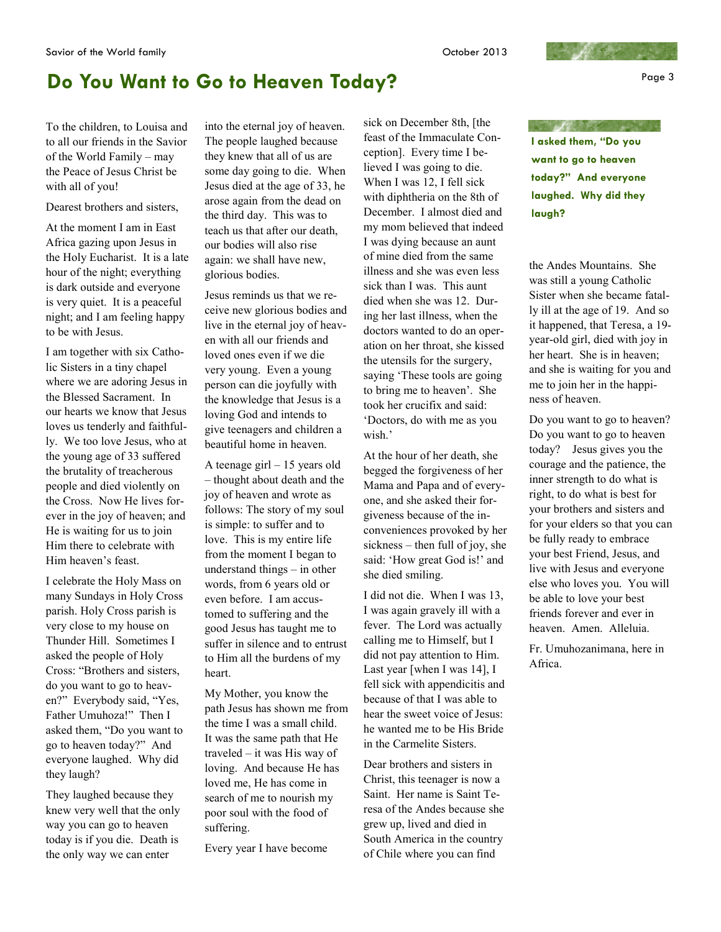## **Do You Want to Go to Heaven Today?**

To the children, to Louisa and to all our friends in the Savior of the World Family – may the Peace of Jesus Christ be with all of you!

Dearest brothers and sisters,

At the moment I am in East Africa gazing upon Jesus in the Holy Eucharist. It is a late hour of the night; everything is dark outside and everyone is very quiet. It is a peaceful night; and I am feeling happy to be with Jesus.

I am together with six Catholic Sisters in a tiny chapel where we are adoring Jesus in the Blessed Sacrament. In our hearts we know that Jesus loves us tenderly and faithfully. We too love Jesus, who at the young age of 33 suffered the brutality of treacherous people and died violently on the Cross. Now He lives forever in the joy of heaven; and He is waiting for us to join Him there to celebrate with Him heaven's feast.

I celebrate the Holy Mass on many Sundays in Holy Cross parish. Holy Cross parish is very close to my house on Thunder Hill. Sometimes I asked the people of Holy Cross: "Brothers and sisters, do you want to go to heaven?" Everybody said, "Yes, Father Umuhoza!" Then I asked them, "Do you want to go to heaven today?" And everyone laughed. Why did they laugh?

They laughed because they knew very well that the only way you can go to heaven today is if you die. Death is the only way we can enter

into the eternal joy of heaven. The people laughed because they knew that all of us are some day going to die. When Jesus died at the age of 33, he arose again from the dead on the third day. This was to teach us that after our death, our bodies will also rise again: we shall have new, glorious bodies.

Jesus reminds us that we receive new glorious bodies and live in the eternal joy of heaven with all our friends and loved ones even if we die very young. Even a young person can die joyfully with the knowledge that Jesus is a loving God and intends to give teenagers and children a beautiful home in heaven.

A teenage girl – 15 years old – thought about death and the joy of heaven and wrote as follows: The story of my soul is simple: to suffer and to love. This is my entire life from the moment I began to understand things – in other words, from 6 years old or even before. I am accustomed to suffering and the good Jesus has taught me to suffer in silence and to entrust to Him all the burdens of my heart.

My Mother, you know the path Jesus has shown me from the time I was a small child. It was the same path that He traveled – it was His way of loving. And because He has loved me, He has come in search of me to nourish my poor soul with the food of suffering.

Every year I have become

sick on December 8th, [the feast of the Immaculate Conception]. Every time I believed I was going to die. When I was 12, I fell sick with diphtheria on the 8th of December. I almost died and my mom believed that indeed I was dying because an aunt of mine died from the same illness and she was even less sick than I was. This aunt died when she was 12. During her last illness, when the doctors wanted to do an operation on her throat, she kissed the utensils for the surgery, saying 'These tools are going to bring me to heaven'. She took her crucifix and said: 'Doctors, do with me as you wish.'

At the hour of her death, she begged the forgiveness of her Mama and Papa and of everyone, and she asked their forgiveness because of the inconveniences provoked by her sickness – then full of joy, she said: 'How great God is!' and she died smiling.

I did not die. When I was 13, I was again gravely ill with a fever. The Lord was actually calling me to Himself, but I did not pay attention to Him. Last year [when I was 14], I fell sick with appendicitis and because of that I was able to hear the sweet voice of Jesus: he wanted me to be His Bride in the Carmelite Sisters.

Dear brothers and sisters in Christ, this teenager is now a Saint. Her name is Saint Teresa of the Andes because she grew up, lived and died in South America in the country of Chile where you can find

**I asked them, "Do you want to go to heaven today?" And everyone laughed. Why did they laugh?** 

**REAL AND REAL PROPERTY** 

the Andes Mountains. She was still a young Catholic Sister when she became fatally ill at the age of 19. And so it happened, that Teresa, a 19 year-old girl, died with joy in her heart. She is in heaven; and she is waiting for you and me to join her in the happiness of heaven.

Do you want to go to heaven? Do you want to go to heaven today? Jesus gives you the courage and the patience, the inner strength to do what is right, to do what is best for your brothers and sisters and for your elders so that you can be fully ready to embrace your best Friend, Jesus, and live with Jesus and everyone else who loves you. You will be able to love your best friends forever and ever in heaven. Amen. Alleluia.

Fr. Umuhozanimana, here in Africa.



Page 3